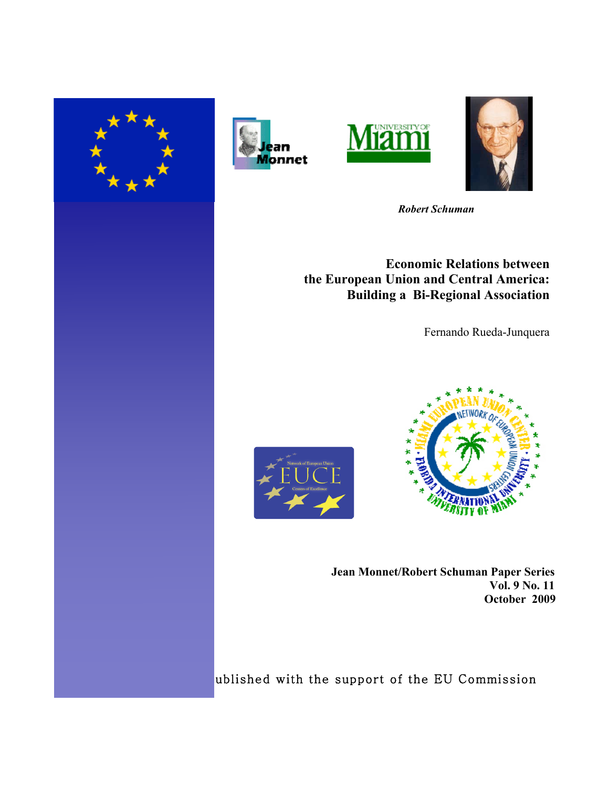







 *Robert Schuman* 

**Economic Relations between the European Union and Central America: Building a Bi-Regional Association**

Fernando Rueda-Junquera





**Jean Monnet/Robert Schuman Paper Series Vol. 9 No. 11 October 2009**

ublished with the support of the EU Commission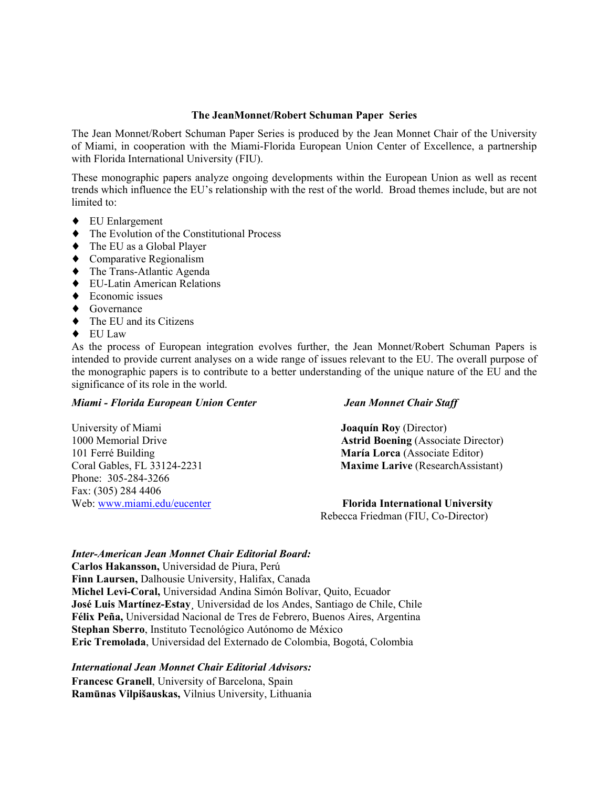## **The JeanMonnet/Robert Schuman Paper Series**

The Jean Monnet/Robert Schuman Paper Series is produced by the Jean Monnet Chair of the University of Miami, in cooperation with the Miami-Florida European Union Center of Excellence, a partnership with Florida International University (FIU).

These monographic papers analyze ongoing developments within the European Union as well as recent trends which influence the EU's relationship with the rest of the world. Broad themes include, but are not limited to:

- ♦ EU Enlargement
- ♦ The Evolution of the Constitutional Process
- ♦ The EU as a Global Player
- ♦ Comparative Regionalism
- ♦ The Trans-Atlantic Agenda
- ♦ EU-Latin American Relations
- $\blacklozenge$  Economic issues

Phone: 305-284-3266 Fax: (305) 284 4406

- ◆ Governance
- ♦ The EU and its Citizens
- ♦ EU Law

As the process of European integration evolves further, the Jean Monnet/Robert Schuman Papers is intended to provide current analyses on a wide range of issues relevant to the EU. The overall purpose of the monographic papers is to contribute to a better understanding of the unique nature of the EU and the significance of its role in the world.

## *Miami - Florida European Union Center Jean Monnet Chair Staff*

University of Miami **Joaquín Roy** (Director) 1000 Memorial Drive **Astrid Boening** (Associate Director) 101 Ferré Building **María Lorca** (Associate Editor) Coral Gables, FL 33124-2231 **Maxime Larive** (ResearchAssistant)

Web: www.miami.edu/eucenter **Florida International University** Rebecca Friedman (FIU, Co-Director)

## *Inter-American Jean Monnet Chair Editorial Board:*

**Carlos Hakansson,** Universidad de Piura, Perú **Finn Laursen,** Dalhousie University, Halifax, Canada **Michel Levi-Coral,** Universidad Andina Simón Bolívar, Quito, Ecuador **José Luis Martínez-Estay¸** Universidad de los Andes, Santiago de Chile, Chile **Félix Peña,** Universidad Nacional de Tres de Febrero, Buenos Aires, Argentina **Stephan Sberro**, Instituto Tecnológico Autónomo de México **Eric Tremolada**, Universidad del Externado de Colombia, Bogotá, Colombia

## *International Jean Monnet Chair Editorial Advisors:*

**Francesc Granell**, University of Barcelona, Spain **Ramūnas Vilpišauskas,** Vilnius University, Lithuania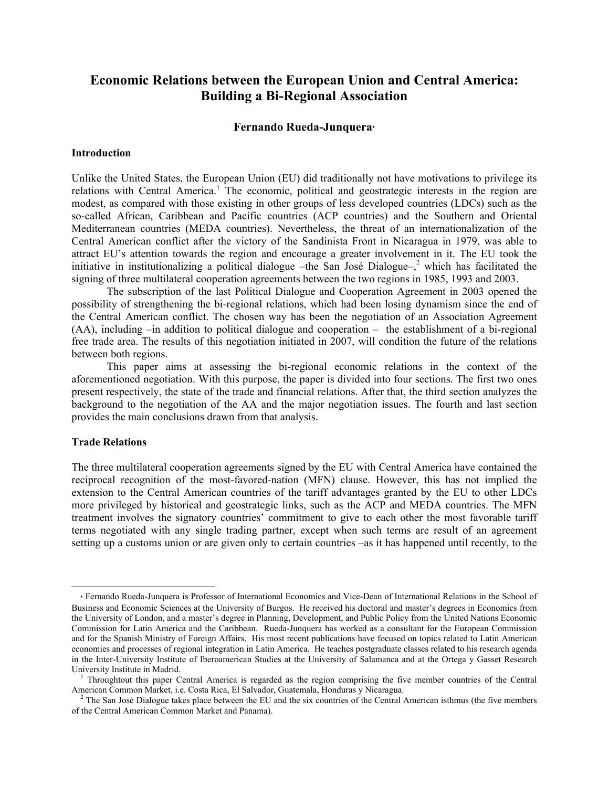# **Economic Relations between the European Union and Central America: Building a Bi-Regional Association**

## **Fernando Rueda-Junquera**♦

## **Introduction**

Unlike the United States, the European Union (EU) did traditionally not have motivations to privilege its relations with Central America.<sup>1</sup> The economic, political and geostrategic interests in the region are modest, as compared with those existing in other groups of less developed countries (LDCs) such as the so-called African, Caribbean and Pacific countries (ACP countries) and the Southern and Oriental Mediterranean countries (MEDA countries). Nevertheless, the threat of an internationalization of the Central American conflict after the victory of the Sandinista Front in Nicaragua in 1979, was able to attract EU's attention towards the region and encourage a greater involvement in it. The EU took the initiative in institutionalizing a political dialogue – the San José Dialogue– $\lambda^2$  which has facilitated the signing of three multilateral cooperation agreements between the two regions in 1985, 1993 and 2003.

The subscription of the last Political Dialogue and Cooperation Agreement in 2003 opened the possibility of strengthening the bi-regional relations, which had been losing dynamism since the end of the Central American conflict. The chosen way has been the negotiation of an Association Agreement (AA), including –in addition to political dialogue and cooperation – the establishment of a bi-regional free trade area. The results of this negotiation initiated in 2007, will condition the future of the relations between both regions.

This paper aims at assessing the bi-regional economic relations in the context of the aforementioned negotiation. With this purpose, the paper is divided into four sections. The first two ones present respectively, the state of the trade and financial relations. After that, the third section analyzes the background to the negotiation of the AA and the major negotiation issues. The fourth and last section provides the main conclusions drawn from that analysis.

## **Trade Relations**

 $\overline{a}$ 

The three multilateral cooperation agreements signed by the EU with Central America have contained the reciprocal recognition of the most-favored-nation (MFN) clause. However, this has not implied the extension to the Central American countries of the tariff advantages granted by the EU to other LDCs more privileged by historical and geostrategic links, such as the ACP and MEDA countries. The MFN treatment involves the signatory countries' commitment to give to each other the most favorable tariff terms negotiated with any single trading partner, except when such terms are result of an agreement setting up a customs union or are given only to certain countries –as it has happened until recently, to the

♦ Fernando Rueda-Junquera is Professor of International Economics and Vice-Dean of International Relations in the School of Business and Economic Sciences at the University of Burgos. He received his doctoral and master's degrees in Economics from the University of London, and a master's degree in Planning, Development, and Public Policy from the United Nations Economic Commission for Latin America and the Caribbean. Rueda-Junquera has worked as a consultant for the European Commission and for the Spanish Ministry of Foreign Affairs. His most recent publications have focused on topics related to Latin American economies and processes of regional integration in Latin America. He teaches postgraduate classes related to his research agenda in the Inter-University Institute of Iberoamerican Studies at the University of Salamanca and at the Ortega y Gasset Research University Institute in Madrid.

<sup>&</sup>lt;sup>1</sup> Throughtout this paper Central America is regarded as the region comprising the five member countries of the Central American Common Market, i.e. Costa Rica, El Salvador, Guatemala, Honduras y Nicaragua.

<sup>&</sup>lt;sup>2</sup> The San José Dialogue takes place between the EU and the six countries of the Central American isthmus (the five members of the Central American Common Market and Panama).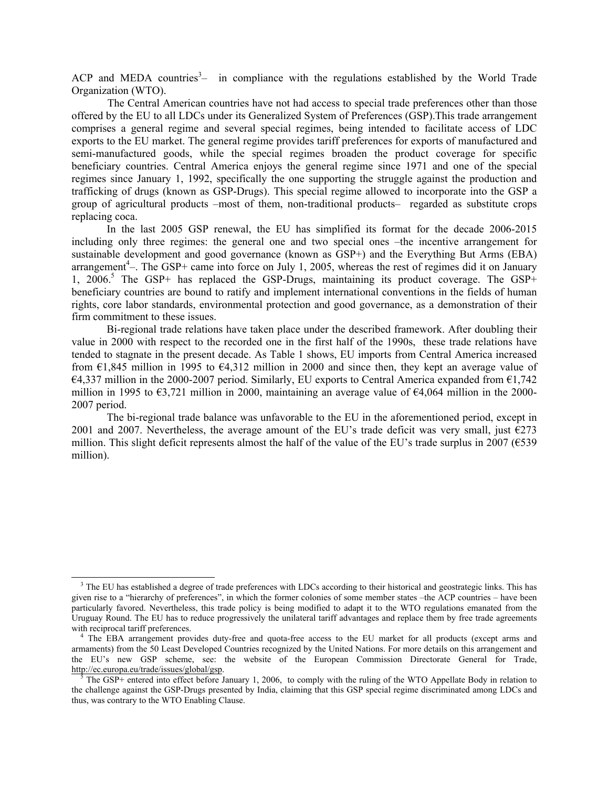ACP and MEDA countries<sup>3</sup> $-$  in compliance with the regulations established by the World Trade Organization (WTO).

The Central American countries have not had access to special trade preferences other than those offered by the EU to all LDCs under its Generalized System of Preferences (GSP).This trade arrangement comprises a general regime and several special regimes, being intended to facilitate access of LDC exports to the EU market. The general regime provides tariff preferences for exports of manufactured and semi-manufactured goods, while the special regimes broaden the product coverage for specific beneficiary countries. Central America enjoys the general regime since 1971 and one of the special regimes since January 1, 1992, specifically the one supporting the struggle against the production and trafficking of drugs (known as GSP-Drugs). This special regime allowed to incorporate into the GSP a group of agricultural products –most of them, non-traditional products– regarded as substitute crops replacing coca.

In the last 2005 GSP renewal, the EU has simplified its format for the decade 2006-2015 including only three regimes: the general one and two special ones –the incentive arrangement for sustainable development and good governance (known as GSP+) and the Everything But Arms (EBA) arrangement<sup>4</sup>—. The GSP+ came into force on July 1, 2005, whereas the rest of regimes did it on January 1, 2006.<sup>5</sup> The GSP+ has replaced the GSP-Drugs, maintaining its product coverage. The GSP+ beneficiary countries are bound to ratify and implement international conventions in the fields of human rights, core labor standards, environmental protection and good governance, as a demonstration of their firm commitment to these issues.

Bi-regional trade relations have taken place under the described framework. After doubling their value in 2000 with respect to the recorded one in the first half of the 1990s, these trade relations have tended to stagnate in the present decade. As Table 1 shows, EU imports from Central America increased from  $\epsilon$ 1,845 million in 1995 to  $\epsilon$ 4,312 million in 2000 and since then, they kept an average value of €4,337 million in the 2000-2007 period. Similarly, EU exports to Central America expanded from €1,742 million in 1995 to €3,721 million in 2000, maintaining an average value of €4,064 million in the 2000- 2007 period.

The bi-regional trade balance was unfavorable to the EU in the aforementioned period, except in 2001 and 2007. Nevertheless, the average amount of the EU's trade deficit was very small, just  $\epsilon$ 273 million. This slight deficit represents almost the half of the value of the EU's trade surplus in 2007 ( $\epsilon$ 539) million).

 $\overline{a}$ 

<sup>&</sup>lt;sup>3</sup> The EU has established a degree of trade preferences with LDCs according to their historical and geostrategic links. This has given rise to a "hierarchy of preferences", in which the former colonies of some member states –the ACP countries – have been particularly favored. Nevertheless, this trade policy is being modified to adapt it to the WTO regulations emanated from the Uruguay Round. The EU has to reduce progressively the unilateral tariff advantages and replace them by free trade agreements with reciprocal tariff preferences.

<sup>4</sup> The EBA arrangement provides duty-free and quota-free access to the EU market for all products (except arms and armaments) from the 50 Least Developed Countries recognized by the United Nations. For more details on this arrangement and the EU's new GSP scheme, see: the website of the European Commission Directorate General for Trade, http://ec.europa.eu/trade/issues/global/gsp.

<sup>5</sup> The GSP+ entered into effect before January 1, 2006, to comply with the ruling of the WTO Appellate Body in relation to the challenge against the GSP-Drugs presented by India, claiming that this GSP special regime discriminated among LDCs and thus, was contrary to the WTO Enabling Clause.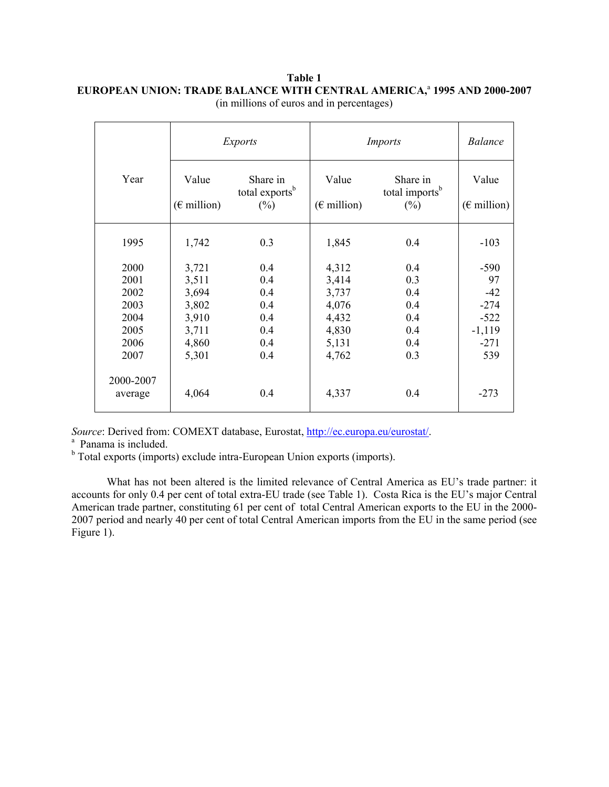|              |                                       | <i>Exports</i>                                   | <i>Imports</i>                        | <i>Balance</i>                                   |                                       |
|--------------|---------------------------------------|--------------------------------------------------|---------------------------------------|--------------------------------------------------|---------------------------------------|
| Year         | Value<br>$(\epsilon \text{ million})$ | Share in<br>total exports <sup>b</sup><br>$(\%)$ | Value<br>$(\epsilon \text{ million})$ | Share in<br>total imports <sup>b</sup><br>$(\%)$ | Value<br>$(\epsilon \text{ million})$ |
| 1995         | 1,742                                 | 0.3                                              | 1,845                                 | 0.4                                              | $-103$                                |
| 2000         | 3,721                                 | 0.4                                              | 4,312                                 | 0.4                                              | $-590$                                |
| 2001<br>2002 | 3,511<br>3,694                        | 0.4<br>0.4                                       | 3,414<br>3,737                        | 0.3<br>0.4                                       | 97<br>$-42$                           |
| 2003         | 3,802                                 | 0.4                                              | 4,076                                 | 0.4                                              | $-274$                                |
| 2004         | 3,910                                 | 0.4                                              | 4,432                                 | 0.4                                              | $-522$                                |
| 2005         | 3,711                                 | 0.4                                              | 4,830                                 | 0.4                                              | $-1,119$                              |
| 2006         | 4,860                                 | 0.4                                              | 5,131                                 | 0.4                                              | $-271$                                |
| 2007         | 5,301                                 | 0.4                                              | 4,762                                 | 0.3                                              | 539                                   |
| 2000-2007    |                                       |                                                  |                                       |                                                  |                                       |
| average      | 4,064                                 | 0.4                                              | 4,337                                 | 0.4                                              | $-273$                                |

## **Table 1 EUROPEAN UNION: TRADE BALANCE WITH CENTRAL AMERICA,<sup>a</sup> 1995 AND 2000-2007** (in millions of euros and in percentages)

*Source*: Derived from: COMEXT database, Eurostat, http://ec.europa.eu/eurostat/.

<sup>a</sup> Panama is included.

<sup>b</sup> Total exports (imports) exclude intra-European Union exports (imports).

What has not been altered is the limited relevance of Central America as EU's trade partner: it accounts for only 0.4 per cent of total extra-EU trade (see Table 1). Costa Rica is the EU's major Central American trade partner, constituting 61 per cent of total Central American exports to the EU in the 2000- 2007 period and nearly 40 per cent of total Central American imports from the EU in the same period (see Figure 1).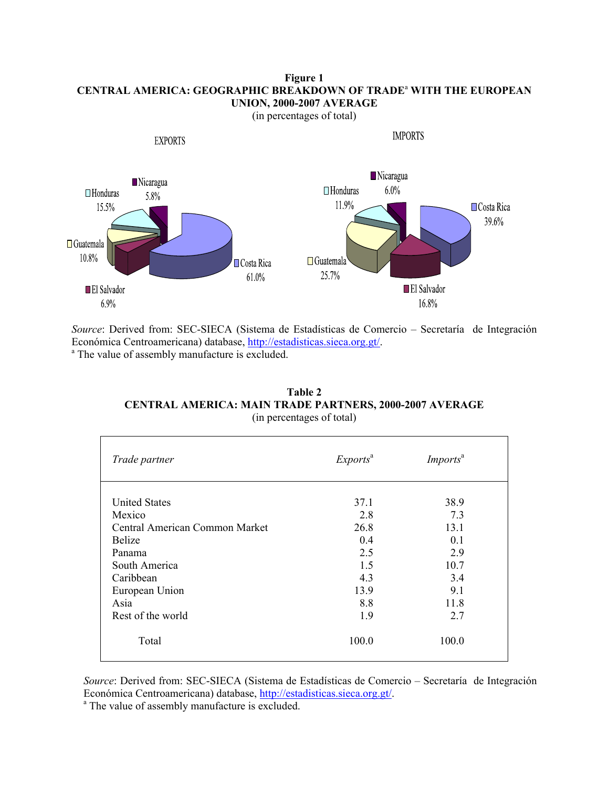## **Figure 1 CENTRAL AMERICA: GEOGRAPHIC BREAKDOWN OF TRADE**<sup>a</sup>  **WITH THE EUROPEAN UNION, 2000-2007 AVERAGE**



*Source*: Derived from: SEC-SIECA (Sistema de Estadísticas de Comercio – Secretaría de Integración Económica Centroamericana) database, http://estadisticas.sieca.org.gt/. <sup>a</sup> The value of assembly manufacture is excluded.

| Table 2                                                        |
|----------------------------------------------------------------|
| <b>CENTRAL AMERICA: MAIN TRADE PARTNERS, 2000-2007 AVERAGE</b> |
| (in percentages of total)                                      |

| Trade partner                  | Exports <sup>a</sup> | <i>Imports<sup>a</sup></i> |  |  |
|--------------------------------|----------------------|----------------------------|--|--|
| <b>United States</b>           | 37.1                 | 38.9                       |  |  |
| Mexico                         | 2.8                  | 7.3                        |  |  |
| Central American Common Market | 26.8                 | 13.1                       |  |  |
| <b>Belize</b>                  | 0.4                  | 0.1                        |  |  |
| Panama                         | 2.5                  | 2.9                        |  |  |
| South America                  | 1.5                  | 10.7                       |  |  |
| Caribbean                      | 4.3                  | 3.4                        |  |  |
| European Union                 | 13.9                 | 9.1                        |  |  |
| Asia                           | 8.8                  | 11.8                       |  |  |
| Rest of the world              | 1.9                  | 2.7                        |  |  |
| Total                          | 100.0                | 100.0                      |  |  |

*Source*: Derived from: SEC-SIECA (Sistema de Estadísticas de Comercio – Secretaría de Integración Económica Centroamericana) database, http://estadisticas.sieca.org.gt/.

<sup>a</sup> The value of assembly manufacture is excluded.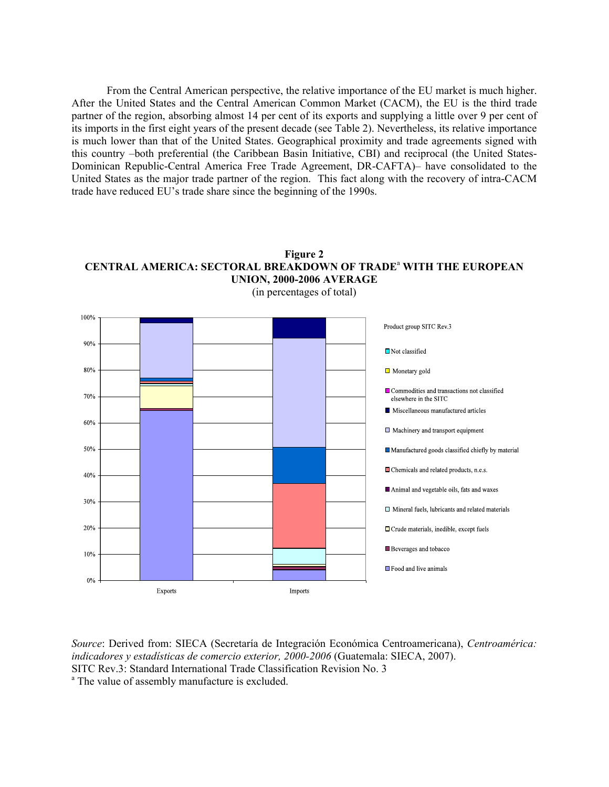From the Central American perspective, the relative importance of the EU market is much higher. After the United States and the Central American Common Market (CACM), the EU is the third trade partner of the region, absorbing almost 14 per cent of its exports and supplying a little over 9 per cent of its imports in the first eight years of the present decade (see Table 2). Nevertheless, its relative importance is much lower than that of the United States. Geographical proximity and trade agreements signed with this country –both preferential (the Caribbean Basin Initiative, CBI) and reciprocal (the United States-Dominican Republic-Central America Free Trade Agreement, DR-CAFTA)– have consolidated to the United States as the major trade partner of the region. This fact along with the recovery of intra-CACM trade have reduced EU's trade share since the beginning of the 1990s.





*Source*: Derived from: SIECA (Secretaría de Integración Económica Centroamericana), *Centroamérica: indicadores y estadísticas de comercio exterior, 2000-2006* (Guatemala: SIECA, 2007). SITC Rev.3: Standard International Trade Classification Revision No. 3 <sup>a</sup> The value of assembly manufacture is excluded.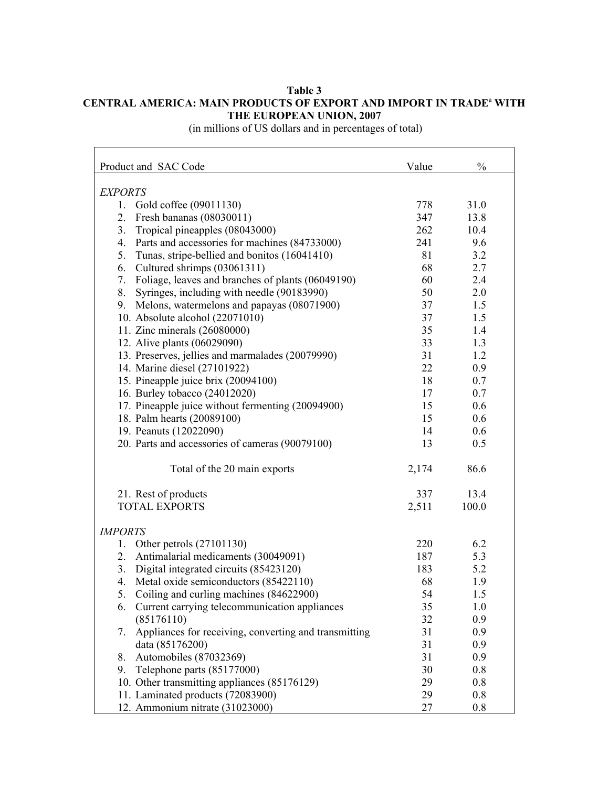## **Table 3 CENTRAL AMERICA: MAIN PRODUCTS OF EXPORT AND IMPORT IN TRADE<sup>a</sup> WITH THE EUROPEAN UNION, 2007**

(in millions of US dollars and in percentages of total)

| Product and SAC Code                                     | Value | $\frac{0}{0}$ |
|----------------------------------------------------------|-------|---------------|
| <b>EXPORTS</b>                                           |       |               |
| Gold coffee (09011130)<br>1.                             | 778   | 31.0          |
| Fresh bananas (08030011)<br>2.                           | 347   | 13.8          |
| Tropical pineapples (08043000)<br>3.                     | 262   | 10.4          |
| Parts and accessories for machines (84733000)<br>4.      | 241   | 9.6           |
| Tunas, stripe-bellied and bonitos (16041410)<br>5.       | 81    | 3.2           |
| Cultured shrimps (03061311)<br>6.                        | 68    | 2.7           |
| Foliage, leaves and branches of plants (06049190)<br>7.  | 60    | 2.4           |
| Syringes, including with needle (90183990)<br>8.         | 50    | 2.0           |
| 9. Melons, watermelons and papayas (08071900)            | 37    | 1.5           |
| 10. Absolute alcohol (22071010)                          | 37    | 1.5           |
| 11. Zinc minerals (26080000)                             | 35    | 1.4           |
| 12. Alive plants (06029090)                              | 33    | 1.3           |
| 13. Preserves, jellies and marmalades (20079990)         | 31    | 1.2           |
| 14. Marine diesel (27101922)                             | 22    | 0.9           |
| 15. Pineapple juice brix (20094100)                      | 18    | 0.7           |
| 16. Burley tobacco (24012020)                            | 17    | 0.7           |
| 17. Pineapple juice without fermenting (20094900)        | 15    | 0.6           |
| 18. Palm hearts (20089100)                               | 15    | 0.6           |
| 19. Peanuts (12022090)                                   | 14    | 0.6           |
| 20. Parts and accessories of cameras (90079100)          | 13    | 0.5           |
| Total of the 20 main exports                             | 2,174 | 86.6          |
| 21. Rest of products                                     | 337   | 13.4          |
| <b>TOTAL EXPORTS</b>                                     | 2,511 | 100.0         |
| <b>IMPORTS</b>                                           |       |               |
| Other petrols (27101130)<br>1.                           | 220   | 6.2           |
| Antimalarial medicaments (30049091)<br>2.                | 187   | 5.3           |
| 3. Digital integrated circuits (85423120)                | 183   | 5.2           |
| Metal oxide semiconductors (85422110)<br>4.              | 68    | 1.9           |
| 5.<br>Coiling and curling machines (84622900)            | 54    | 1.5           |
| Current carrying telecommunication appliances<br>6.      | 35    | 1.0           |
| (85176110)                                               | 32    | 0.9           |
| 7. Appliances for receiving, converting and transmitting | 31    | 0.9           |
| data (85176200)                                          | 31    | 0.9           |
| Automobiles (87032369)<br>8.                             | 31    | 0.9           |
| Telephone parts (85177000)<br>9.                         | 30    | 0.8           |
| 10. Other transmitting appliances (85176129)             | 29    | 0.8           |
| 11. Laminated products (72083900)                        | 29    | 0.8           |
| 12. Ammonium nitrate (31023000)                          | 27    | 0.8           |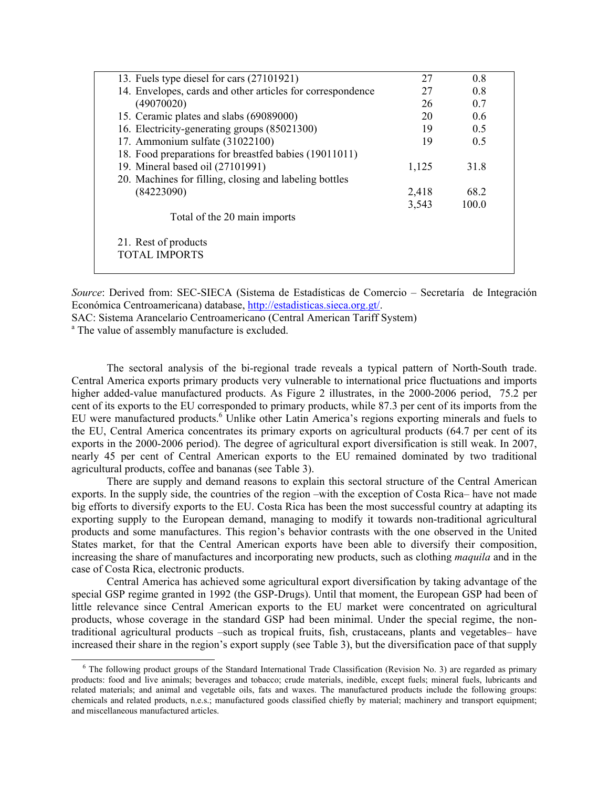| 13. Fuels type diesel for cars (27101921)                  | 27    | 08    |  |
|------------------------------------------------------------|-------|-------|--|
| 14. Envelopes, cards and other articles for correspondence | 27    | 0.8   |  |
| (49070020)                                                 | 26    | 0.7   |  |
| 15. Ceramic plates and slabs (69089000)                    | 20    | 06    |  |
| 16. Electricity-generating groups (85021300)               | 19    | 0.5   |  |
| 17. Ammonium sulfate (31022100)                            | 19    | 0.5   |  |
| 18. Food preparations for breastfed babies (19011011)      |       |       |  |
| 19. Mineral based oil (27101991)                           | 1,125 | 31.8  |  |
| 20. Machines for filling, closing and labeling bottles     |       |       |  |
| (84223090)                                                 | 2,418 | 68.2  |  |
|                                                            | 3,543 | 100.0 |  |
| Total of the 20 main imports                               |       |       |  |
| 21. Rest of products                                       |       |       |  |
| <b>TOTAL IMPORTS</b>                                       |       |       |  |

*Source*: Derived from: SEC-SIECA (Sistema de Estadísticas de Comercio – Secretaría de Integración Económica Centroamericana) database, http://estadisticas.sieca.org.gt/.

SAC: Sistema Arancelario Centroamericano (Central American Tariff System)

<sup>a</sup> The value of assembly manufacture is excluded.

 $\overline{a}$ 

The sectoral analysis of the bi-regional trade reveals a typical pattern of North-South trade. Central America exports primary products very vulnerable to international price fluctuations and imports higher added-value manufactured products. As Figure 2 illustrates, in the 2000-2006 period, 75.2 per cent of its exports to the EU corresponded to primary products, while 87.3 per cent of its imports from the EU were manufactured products.<sup>6</sup> Unlike other Latin America's regions exporting minerals and fuels to the EU, Central America concentrates its primary exports on agricultural products (64.7 per cent of its exports in the 2000-2006 period). The degree of agricultural export diversification is still weak. In 2007, nearly 45 per cent of Central American exports to the EU remained dominated by two traditional agricultural products, coffee and bananas (see Table 3).

There are supply and demand reasons to explain this sectoral structure of the Central American exports. In the supply side, the countries of the region –with the exception of Costa Rica– have not made big efforts to diversify exports to the EU. Costa Rica has been the most successful country at adapting its exporting supply to the European demand, managing to modify it towards non-traditional agricultural products and some manufactures. This region's behavior contrasts with the one observed in the United States market, for that the Central American exports have been able to diversify their composition, increasing the share of manufactures and incorporating new products, such as clothing *maquila* and in the case of Costa Rica, electronic products.

Central America has achieved some agricultural export diversification by taking advantage of the special GSP regime granted in 1992 (the GSP-Drugs). Until that moment, the European GSP had been of little relevance since Central American exports to the EU market were concentrated on agricultural products, whose coverage in the standard GSP had been minimal. Under the special regime, the nontraditional agricultural products –such as tropical fruits, fish, crustaceans, plants and vegetables– have increased their share in the region's export supply (see Table 3), but the diversification pace of that supply

<sup>&</sup>lt;sup>6</sup> The following product groups of the Standard International Trade Classification (Revision No. 3) are regarded as primary products: food and live animals; beverages and tobacco; crude materials, inedible, except fuels; mineral fuels, lubricants and related materials; and animal and vegetable oils, fats and waxes. The manufactured products include the following groups: chemicals and related products, n.e.s.; manufactured goods classified chiefly by material; machinery and transport equipment; and miscellaneous manufactured articles.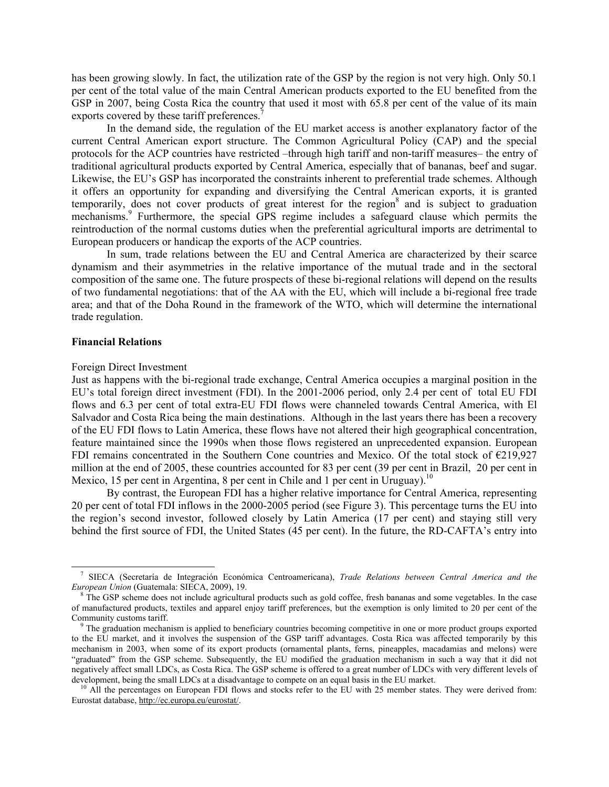has been growing slowly. In fact, the utilization rate of the GSP by the region is not very high. Only 50.1 per cent of the total value of the main Central American products exported to the EU benefited from the GSP in 2007, being Costa Rica the country that used it most with 65.8 per cent of the value of its main exports covered by these tariff preferences.<sup>7</sup>

In the demand side, the regulation of the EU market access is another explanatory factor of the current Central American export structure. The Common Agricultural Policy (CAP) and the special protocols for the ACP countries have restricted –through high tariff and non-tariff measures– the entry of traditional agricultural products exported by Central America, especially that of bananas, beef and sugar. Likewise, the EU's GSP has incorporated the constraints inherent to preferential trade schemes. Although it offers an opportunity for expanding and diversifying the Central American exports, it is granted temporarily, does not cover products of great interest for the region<sup>8</sup> and is subject to graduation mechanisms.<sup>9</sup> Furthermore, the special GPS regime includes a safeguard clause which permits the reintroduction of the normal customs duties when the preferential agricultural imports are detrimental to European producers or handicap the exports of the ACP countries.

In sum, trade relations between the EU and Central America are characterized by their scarce dynamism and their asymmetries in the relative importance of the mutual trade and in the sectoral composition of the same one. The future prospects of these bi-regional relations will depend on the results of two fundamental negotiations: that of the AA with the EU, which will include a bi-regional free trade area; and that of the Doha Round in the framework of the WTO, which will determine the international trade regulation.

#### **Financial Relations**

 $\overline{a}$ 

#### Foreign Direct Investment

Just as happens with the bi-regional trade exchange, Central America occupies a marginal position in the EU's total foreign direct investment (FDI). In the 2001-2006 period, only 2.4 per cent of total EU FDI flows and 6.3 per cent of total extra-EU FDI flows were channeled towards Central America, with El Salvador and Costa Rica being the main destinations. Although in the last years there has been a recovery of the EU FDI flows to Latin America, these flows have not altered their high geographical concentration, feature maintained since the 1990s when those flows registered an unprecedented expansion. European FDI remains concentrated in the Southern Cone countries and Mexico. Of the total stock of €219,927 million at the end of 2005, these countries accounted for 83 per cent (39 per cent in Brazil, 20 per cent in Mexico, 15 per cent in Argentina, 8 per cent in Chile and 1 per cent in Uruguay).<sup>10</sup>

By contrast, the European FDI has a higher relative importance for Central America, representing 20 per cent of total FDI inflows in the 2000-2005 period (see Figure 3). This percentage turns the EU into the region's second investor, followed closely by Latin America (17 per cent) and staying still very behind the first source of FDI, the United States (45 per cent). In the future, the RD-CAFTA's entry into

<sup>7</sup> SIECA (Secretaría de Integración Económica Centroamericana), *Trade Relations between Central America and the European Union* (Guatemala: SIECA, 2009), 19.

<sup>8</sup> The GSP scheme does not include agricultural products such as gold coffee, fresh bananas and some vegetables. In the case of manufactured products, textiles and apparel enjoy tariff preferences, but the exemption is only limited to 20 per cent of the Community customs tariff.

<sup>&</sup>lt;sup>9</sup> The graduation mechanism is applied to beneficiary countries becoming competitive in one or more product groups exported to the EU market, and it involves the suspension of the GSP tariff advantages. Costa Rica was affected temporarily by this mechanism in 2003, when some of its export products (ornamental plants, ferns, pineapples, macadamias and melons) were "graduated" from the GSP scheme. Subsequently, the EU modified the graduation mechanism in such a way that it did not negatively affect small LDCs, as Costa Rica. The GSP scheme is offered to a great number of LDCs with very different levels of development, being the small LDCs at a disadvantage to compete on an equal basis in the EU market.

 $10$  All the percentages on European FDI flows and stocks refer to the EU with 25 member states. They were derived from: Eurostat database, http://ec.europa.eu/eurostat/.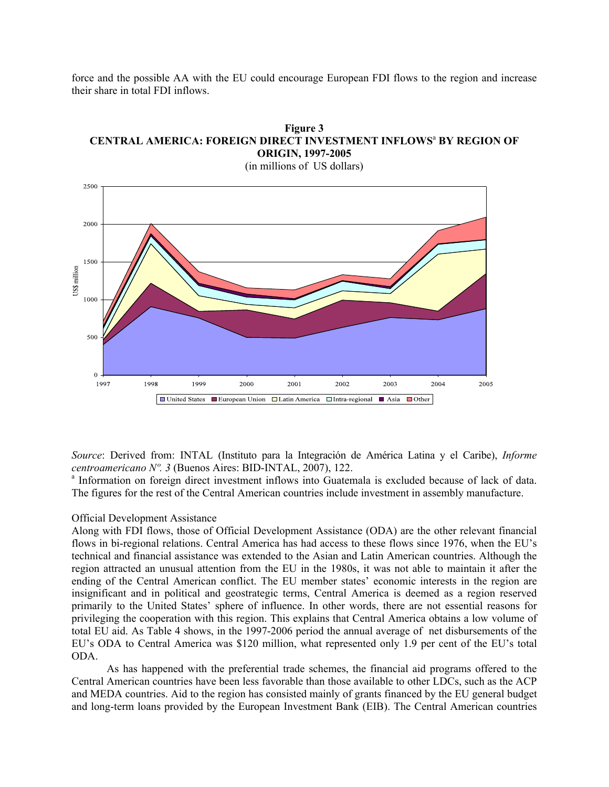force and the possible AA with the EU could encourage European FDI flows to the region and increase their share in total FDI inflows.





*Source*: Derived from: INTAL (Instituto para la Integración de América Latina y el Caribe), *Informe centroamericano Nº. 3 (Buenos Aires: BID-INTAL, 2007), 122.* 

<sup>a</sup> Information on foreign direct investment inflows into Guatemala is excluded because of lack of data. The figures for the rest of the Central American countries include investment in assembly manufacture.

## Official Development Assistance

Along with FDI flows, those of Official Development Assistance (ODA) are the other relevant financial flows in bi-regional relations. Central America has had access to these flows since 1976, when the EU's technical and financial assistance was extended to the Asian and Latin American countries. Although the region attracted an unusual attention from the EU in the 1980s, it was not able to maintain it after the ending of the Central American conflict. The EU member states' economic interests in the region are insignificant and in political and geostrategic terms, Central America is deemed as a region reserved primarily to the United States' sphere of influence. In other words, there are not essential reasons for privileging the cooperation with this region. This explains that Central America obtains a low volume of total EU aid. As Table 4 shows, in the 1997-2006 period the annual average of net disbursements of the EU's ODA to Central America was \$120 million, what represented only 1.9 per cent of the EU's total ODA.

As has happened with the preferential trade schemes, the financial aid programs offered to the Central American countries have been less favorable than those available to other LDCs, such as the ACP and MEDA countries. Aid to the region has consisted mainly of grants financed by the EU general budget and long-term loans provided by the European Investment Bank (EIB). The Central American countries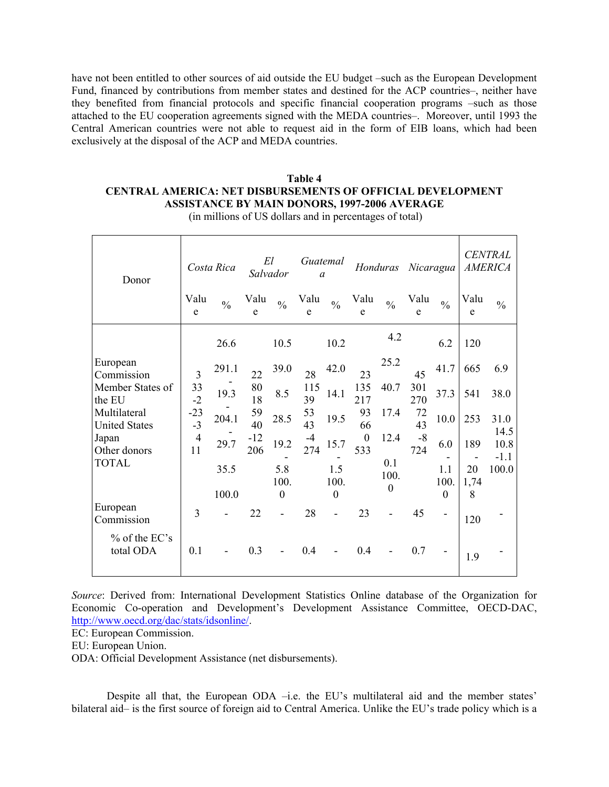have not been entitled to other sources of aid outside the EU budget –such as the European Development Fund, financed by contributions from member states and destined for the ACP countries–, neither have they benefited from financial protocols and specific financial cooperation programs –such as those attached to the EU cooperation agreements signed with the MEDA countries–. Moreover, until 1993 the Central American countries were not able to request aid in the form of EIB loans, which had been exclusively at the disposal of the ACP and MEDA countries.

## **Table 4 CENTRAL AMERICA: NET DISBURSEMENTS OF OFFICIAL DEVELOPMENT ASSISTANCE BY MAIN DONORS, 1997-2006 AVERAGE**

| Donor                                |                      | Costa Rica    | El<br>Salvador |                | Guatemal<br>$\mathfrak a$ |                          |                         | Honduras                        | Nicaragua   |               |            | <b>CENTRAL</b><br><b>AMERICA</b> |
|--------------------------------------|----------------------|---------------|----------------|----------------|---------------------------|--------------------------|-------------------------|---------------------------------|-------------|---------------|------------|----------------------------------|
|                                      | Valu<br>e            | $\frac{0}{0}$ | Valu<br>e      | $\frac{0}{0}$  | Valu<br>e                 | $\frac{0}{0}$            | Valu<br>e               | $\frac{0}{0}$                   | Valu<br>e   | $\frac{0}{0}$ | Valu<br>e  | $\frac{0}{0}$                    |
|                                      |                      | 26.6          |                | 10.5           |                           | 10.2                     |                         | 4.2                             |             | 6.2           | 120        |                                  |
| European<br>Commission               | $\overline{3}$       | 291.1         | 22             | 39.0           | 28                        | 42.0                     | 23                      | 25.2                            | 45          | 41.7          | 665        | 6.9                              |
| Member States of<br>the EU           | $33 - 2$             | 19.3          | 80<br>18       | 8.5            | 115<br>39                 | 14.1                     | 135<br>217              | 40.7                            | 301<br>270  | 37.3          | 541        | 38.0                             |
| Multilateral<br><b>United States</b> | $-23$<br>$-3$        | 204.1         | 59<br>40       | 28.5           | 53<br>43                  | 19.5                     | 93<br>66                | 17.4                            | 72<br>43    | 10.0          | 253        | 31.0<br>14.5                     |
| Japan<br>Other donors                | $\overline{4}$<br>11 | 29.7          | $-12$<br>206   | 19.2           | $-4$<br>274               | 15.7                     | $\boldsymbol{0}$<br>533 | 12.4                            | $-8$<br>724 | 6.0           | 189        | 10.8<br>$-1.1$                   |
| <b>TOTAL</b>                         |                      | 35.5          |                | 5.8<br>100.    |                           | 1.5<br>100.              |                         | 0.1<br>100.<br>$\boldsymbol{0}$ |             | 1.1<br>100.   | 20<br>1,74 | 100.0                            |
|                                      |                      | 100.0         |                | $\theta$       |                           | $\theta$                 |                         |                                 |             | $\theta$      | 8          |                                  |
| European<br>Commission               | 3                    |               | 22             |                | 28                        |                          | 23                      |                                 | 45          | -             | 120        |                                  |
| % of the EC's<br>total ODA           | 0.1                  |               | 0.3            | $\blacksquare$ | 0.4                       | $\overline{\phantom{a}}$ | 0.4                     |                                 | 0.7         |               | 1.9        |                                  |

(in millions of US dollars and in percentages of total)

*Source*: Derived from: International Development Statistics Online database of the Organization for Economic Co-operation and Development's Development Assistance Committee, OECD-DAC, http://www.oecd.org/dac/stats/idsonline/.

EC: European Commission.

EU: European Union.

ODA: Official Development Assistance (net disbursements).

Despite all that, the European ODA –i.e. the EU's multilateral aid and the member states' bilateral aid– is the first source of foreign aid to Central America. Unlike the EU's trade policy which is a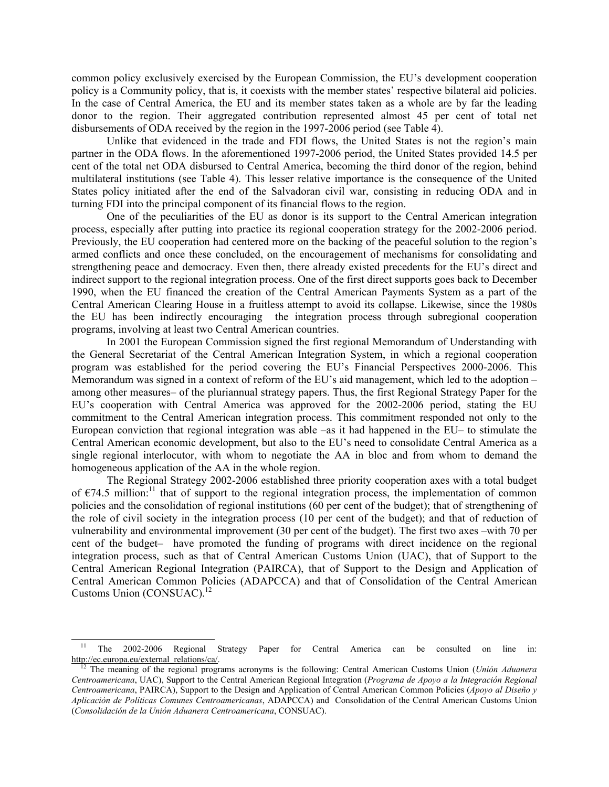common policy exclusively exercised by the European Commission, the EU's development cooperation policy is a Community policy, that is, it coexists with the member states' respective bilateral aid policies. In the case of Central America, the EU and its member states taken as a whole are by far the leading donor to the region. Their aggregated contribution represented almost 45 per cent of total net disbursements of ODA received by the region in the 1997-2006 period (see Table 4).

Unlike that evidenced in the trade and FDI flows, the United States is not the region's main partner in the ODA flows. In the aforementioned 1997-2006 period, the United States provided 14.5 per cent of the total net ODA disbursed to Central America, becoming the third donor of the region, behind multilateral institutions (see Table 4). This lesser relative importance is the consequence of the United States policy initiated after the end of the Salvadoran civil war, consisting in reducing ODA and in turning FDI into the principal component of its financial flows to the region.

One of the peculiarities of the EU as donor is its support to the Central American integration process, especially after putting into practice its regional cooperation strategy for the 2002-2006 period. Previously, the EU cooperation had centered more on the backing of the peaceful solution to the region's armed conflicts and once these concluded, on the encouragement of mechanisms for consolidating and strengthening peace and democracy. Even then, there already existed precedents for the EU's direct and indirect support to the regional integration process. One of the first direct supports goes back to December 1990, when the EU financed the creation of the Central American Payments System as a part of the Central American Clearing House in a fruitless attempt to avoid its collapse. Likewise, since the 1980s the EU has been indirectly encouraging the integration process through subregional cooperation programs, involving at least two Central American countries.

In 2001 the European Commission signed the first regional Memorandum of Understanding with the General Secretariat of the Central American Integration System, in which a regional cooperation program was established for the period covering the EU's Financial Perspectives 2000-2006. This Memorandum was signed in a context of reform of the EU's aid management, which led to the adoption – among other measures– of the pluriannual strategy papers. Thus, the first Regional Strategy Paper for the EU's cooperation with Central America was approved for the 2002-2006 period, stating the EU commitment to the Central American integration process. This commitment responded not only to the European conviction that regional integration was able –as it had happened in the EU– to stimulate the Central American economic development, but also to the EU's need to consolidate Central America as a single regional interlocutor, with whom to negotiate the AA in bloc and from whom to demand the homogeneous application of the AA in the whole region.

The Regional Strategy 2002-2006 established three priority cooperation axes with a total budget of  $\epsilon$ 74.5 million:<sup>11</sup> that of support to the regional integration process, the implementation of common policies and the consolidation of regional institutions (60 per cent of the budget); that of strengthening of the role of civil society in the integration process (10 per cent of the budget); and that of reduction of vulnerability and environmental improvement (30 per cent of the budget). The first two axes –with 70 per cent of the budget– have promoted the funding of programs with direct incidence on the regional integration process, such as that of Central American Customs Union (UAC), that of Support to the Central American Regional Integration (PAIRCA), that of Support to the Design and Application of Central American Common Policies (ADAPCCA) and that of Consolidation of the Central American Customs Union (CONSUAC).<sup>12</sup>

 $\overline{\phantom{a}}$ 

<sup>&</sup>lt;sup>11</sup> The 2002-2006 Regional Strategy Paper for Central America can be consulted on line in: http://ec.europa.eu/external\_relations/ca/.

12 The meaning of the regional programs acronyms is the following: Central American Customs Union (*Unión Aduanera Centroamericana*, UAC), Support to the Central American Regional Integration (*Programa de Apoyo a la Integración Regional Centroamericana*, PAIRCA), Support to the Design and Application of Central American Common Policies (*Apoyo al Diseño y Aplicación de Políticas Comunes Centroamericanas*, ADAPCCA) and Consolidation of the Central American Customs Union (*Consolidación de la Unión Aduanera Centroamericana*, CONSUAC).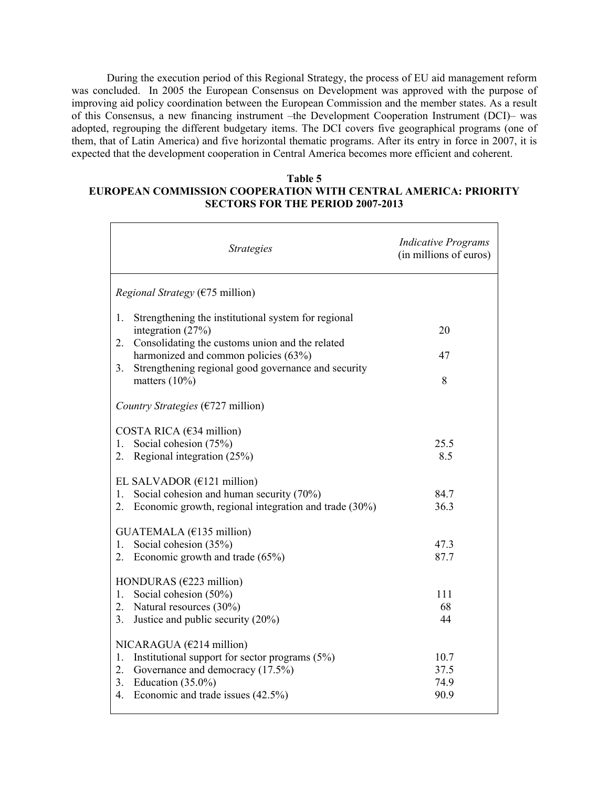During the execution period of this Regional Strategy, the process of EU aid management reform was concluded. In 2005 the European Consensus on Development was approved with the purpose of improving aid policy coordination between the European Commission and the member states. As a result of this Consensus, a new financing instrument –the Development Cooperation Instrument (DCI)– was adopted, regrouping the different budgetary items. The DCI covers five geographical programs (one of them, that of Latin America) and five horizontal thematic programs. After its entry in force in 2007, it is expected that the development cooperation in Central America becomes more efficient and coherent.

## **Table 5 EUROPEAN COMMISSION COOPERATION WITH CENTRAL AMERICA: PRIORITY SECTORS FOR THE PERIOD 2007-2013**

| <b>Strategies</b>                                                                                                                                                                                          | <b>Indicative Programs</b><br>(in millions of euros) |
|------------------------------------------------------------------------------------------------------------------------------------------------------------------------------------------------------------|------------------------------------------------------|
| <i>Regional Strategy</i> ( $\epsilon$ 75 million)                                                                                                                                                          |                                                      |
| Strengthening the institutional system for regional<br>1.<br>integration $(27%)$<br>Consolidating the customs union and the related                                                                        | 20                                                   |
| 2.<br>harmonized and common policies (63%)<br>Strengthening regional good governance and security<br>3.                                                                                                    | 47                                                   |
| matters $(10\%)$                                                                                                                                                                                           | 8                                                    |
| Country Strategies ( $E$ 727 million)                                                                                                                                                                      |                                                      |
| COSTA RICA ( $634$ million)<br>Social cohesion (75%)<br>1.<br>2.<br>Regional integration (25%)                                                                                                             | 25.5<br>8.5                                          |
| EL SALVADOR ( $E121$ million)<br>Social cohesion and human security (70%)<br>1.<br>Economic growth, regional integration and trade (30%)<br>2.                                                             | 84.7<br>36.3                                         |
| GUATEMALA (€135 million)<br>Social cohesion (35%)<br>1.<br>Economic growth and trade $(65\%)$<br>2.                                                                                                        | 47.3<br>87.7                                         |
| HONDURAS ( $E223$ million)<br>Social cohesion (50%)<br>1.<br>2.<br>Natural resources (30%)<br>Justice and public security (20%)<br>3.                                                                      | 111<br>68<br>44                                      |
| NICARAGUA ( $E$ 214 million)<br>Institutional support for sector programs $(5\%)$<br>1.<br>2.<br>Governance and democracy (17.5%)<br>3.<br>Education $(35.0\%)$<br>Economic and trade issues (42.5%)<br>4. | 10.7<br>37.5<br>74.9<br>90.9                         |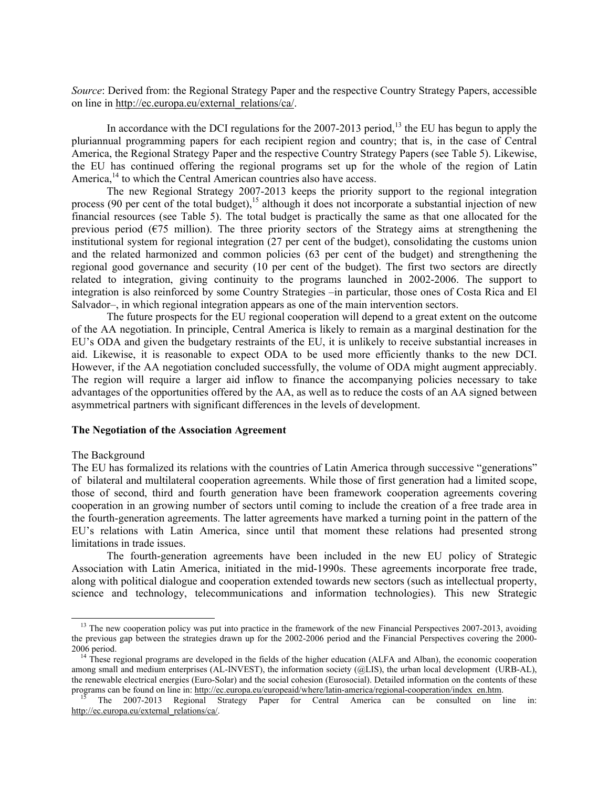*Source*: Derived from: the Regional Strategy Paper and the respective Country Strategy Papers, accessible on line in http://ec.europa.eu/external\_relations/ca/.

In accordance with the DCI regulations for the  $2007-2013$  period,<sup>13</sup> the EU has begun to apply the pluriannual programming papers for each recipient region and country; that is, in the case of Central America, the Regional Strategy Paper and the respective Country Strategy Papers (see Table 5). Likewise, the EU has continued offering the regional programs set up for the whole of the region of Latin America,<sup>14</sup> to which the Central American countries also have access.

The new Regional Strategy 2007-2013 keeps the priority support to the regional integration process (90 per cent of the total budget),<sup>15</sup> although it does not incorporate a substantial injection of new financial resources (see Table 5). The total budget is practically the same as that one allocated for the previous period ( $\epsilon$ 75 million). The three priority sectors of the Strategy aims at strengthening the institutional system for regional integration (27 per cent of the budget), consolidating the customs union and the related harmonized and common policies (63 per cent of the budget) and strengthening the regional good governance and security (10 per cent of the budget). The first two sectors are directly related to integration, giving continuity to the programs launched in 2002-2006. The support to integration is also reinforced by some Country Strategies –in particular, those ones of Costa Rica and El Salvador–, in which regional integration appears as one of the main intervention sectors.

The future prospects for the EU regional cooperation will depend to a great extent on the outcome of the AA negotiation. In principle, Central America is likely to remain as a marginal destination for the EU's ODA and given the budgetary restraints of the EU, it is unlikely to receive substantial increases in aid. Likewise, it is reasonable to expect ODA to be used more efficiently thanks to the new DCI. However, if the AA negotiation concluded successfully, the volume of ODA might augment appreciably. The region will require a larger aid inflow to finance the accompanying policies necessary to take advantages of the opportunities offered by the AA, as well as to reduce the costs of an AA signed between asymmetrical partners with significant differences in the levels of development.

#### **The Negotiation of the Association Agreement**

#### The Background

 $\overline{\phantom{a}}$ 

The EU has formalized its relations with the countries of Latin America through successive "generations" of bilateral and multilateral cooperation agreements. While those of first generation had a limited scope, those of second, third and fourth generation have been framework cooperation agreements covering cooperation in an growing number of sectors until coming to include the creation of a free trade area in the fourth-generation agreements. The latter agreements have marked a turning point in the pattern of the EU's relations with Latin America, since until that moment these relations had presented strong limitations in trade issues.

The fourth-generation agreements have been included in the new EU policy of Strategic Association with Latin America, initiated in the mid-1990s. These agreements incorporate free trade, along with political dialogue and cooperation extended towards new sectors (such as intellectual property, science and technology, telecommunications and information technologies). This new Strategic

<sup>&</sup>lt;sup>13</sup> The new cooperation policy was put into practice in the framework of the new Financial Perspectives 2007-2013, avoiding the previous gap between the strategies drawn up for the 2002-2006 period and the Financial Perspectives covering the 2000- 2006 period.

 $14$ <sup>14</sup> These regional programs are developed in the fields of the higher education (ALFA and Alban), the economic cooperation among small and medium enterprises (AL-INVEST), the information society (@LIS), the urban local development (URB-AL), the renewable electrical energies (Euro-Solar) and the social cohesion (Eurosocial). Detailed information on the contents of these programs can be found on line in: http://ec.europa.eu/europeaid/where/latin-america/regional-cooperation/index\_en.htm.

15 The 2007-2013 Regional Strategy Paper for Central America can be consulted on line in: http://ec.europa.eu/external\_relations/ca/.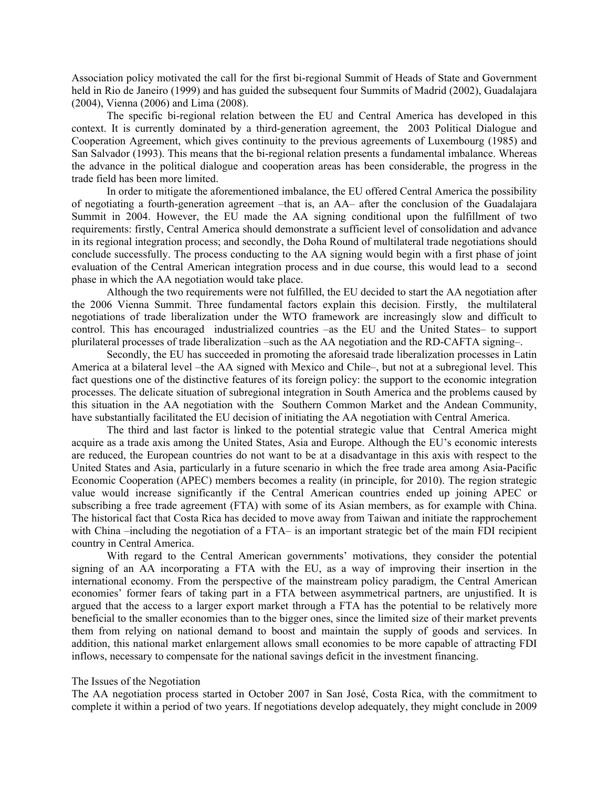Association policy motivated the call for the first bi-regional Summit of Heads of State and Government held in Rio de Janeiro (1999) and has guided the subsequent four Summits of Madrid (2002), Guadalajara (2004), Vienna (2006) and Lima (2008).

The specific bi-regional relation between the EU and Central America has developed in this context. It is currently dominated by a third-generation agreement, the 2003 Political Dialogue and Cooperation Agreement, which gives continuity to the previous agreements of Luxembourg (1985) and San Salvador (1993). This means that the bi-regional relation presents a fundamental imbalance. Whereas the advance in the political dialogue and cooperation areas has been considerable, the progress in the trade field has been more limited.

In order to mitigate the aforementioned imbalance, the EU offered Central America the possibility of negotiating a fourth-generation agreement –that is, an AA– after the conclusion of the Guadalajara Summit in 2004. However, the EU made the AA signing conditional upon the fulfillment of two requirements: firstly, Central America should demonstrate a sufficient level of consolidation and advance in its regional integration process; and secondly, the Doha Round of multilateral trade negotiations should conclude successfully. The process conducting to the AA signing would begin with a first phase of joint evaluation of the Central American integration process and in due course, this would lead to a second phase in which the AA negotiation would take place.

Although the two requirements were not fulfilled, the EU decided to start the AA negotiation after the 2006 Vienna Summit. Three fundamental factors explain this decision. Firstly, the multilateral negotiations of trade liberalization under the WTO framework are increasingly slow and difficult to control. This has encouraged industrialized countries –as the EU and the United States– to support plurilateral processes of trade liberalization –such as the AA negotiation and the RD-CAFTA signing–.

Secondly, the EU has succeeded in promoting the aforesaid trade liberalization processes in Latin America at a bilateral level –the AA signed with Mexico and Chile–, but not at a subregional level. This fact questions one of the distinctive features of its foreign policy: the support to the economic integration processes. The delicate situation of subregional integration in South America and the problems caused by this situation in the AA negotiation with the Southern Common Market and the Andean Community, have substantially facilitated the EU decision of initiating the AA negotiation with Central America.

The third and last factor is linked to the potential strategic value that Central America might acquire as a trade axis among the United States, Asia and Europe. Although the EU's economic interests are reduced, the European countries do not want to be at a disadvantage in this axis with respect to the United States and Asia, particularly in a future scenario in which the free trade area among Asia-Pacific Economic Cooperation (APEC) members becomes a reality (in principle, for 2010). The region strategic value would increase significantly if the Central American countries ended up joining APEC or subscribing a free trade agreement (FTA) with some of its Asian members, as for example with China. The historical fact that Costa Rica has decided to move away from Taiwan and initiate the rapprochement with China –including the negotiation of a FTA– is an important strategic bet of the main FDI recipient country in Central America.

With regard to the Central American governments' motivations, they consider the potential signing of an AA incorporating a FTA with the EU, as a way of improving their insertion in the international economy. From the perspective of the mainstream policy paradigm, the Central American economies' former fears of taking part in a FTA between asymmetrical partners, are unjustified. It is argued that the access to a larger export market through a FTA has the potential to be relatively more beneficial to the smaller economies than to the bigger ones, since the limited size of their market prevents them from relying on national demand to boost and maintain the supply of goods and services. In addition, this national market enlargement allows small economies to be more capable of attracting FDI inflows, necessary to compensate for the national savings deficit in the investment financing.

#### The Issues of the Negotiation

The AA negotiation process started in October 2007 in San José, Costa Rica, with the commitment to complete it within a period of two years. If negotiations develop adequately, they might conclude in 2009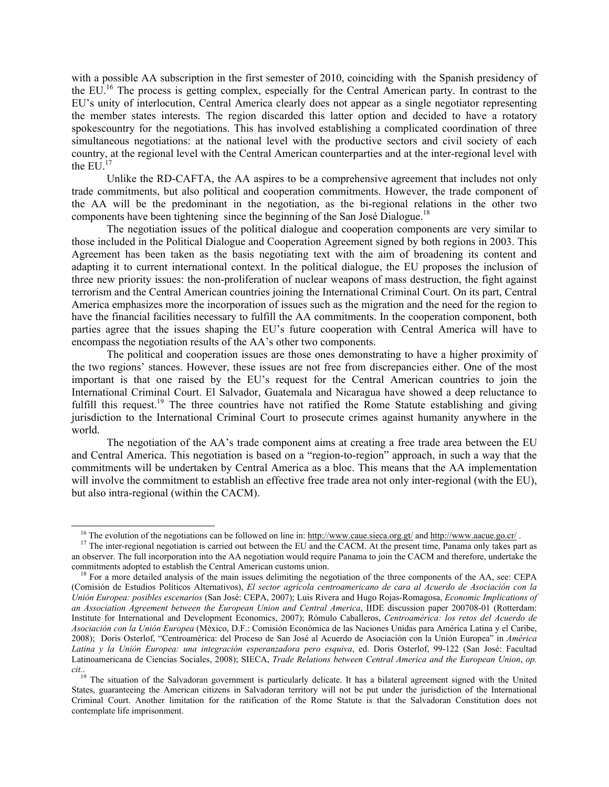with a possible AA subscription in the first semester of 2010, coinciding with the Spanish presidency of the EU.16 The process is getting complex, especially for the Central American party. In contrast to the EU's unity of interlocution, Central America clearly does not appear as a single negotiator representing the member states interests. The region discarded this latter option and decided to have a rotatory spokescountry for the negotiations. This has involved establishing a complicated coordination of three simultaneous negotiations: at the national level with the productive sectors and civil society of each country, at the regional level with the Central American counterparties and at the inter-regional level with the EU  $^{17}$ 

Unlike the RD-CAFTA, the AA aspires to be a comprehensive agreement that includes not only trade commitments, but also political and cooperation commitments. However, the trade component of the AA will be the predominant in the negotiation, as the bi-regional relations in the other two components have been tightening since the beginning of the San José Dialogue.<sup>18</sup>

The negotiation issues of the political dialogue and cooperation components are very similar to those included in the Political Dialogue and Cooperation Agreement signed by both regions in 2003. This Agreement has been taken as the basis negotiating text with the aim of broadening its content and adapting it to current international context. In the political dialogue, the EU proposes the inclusion of three new priority issues: the non-proliferation of nuclear weapons of mass destruction, the fight against terrorism and the Central American countries joining the International Criminal Court. On its part, Central America emphasizes more the incorporation of issues such as the migration and the need for the region to have the financial facilities necessary to fulfill the AA commitments. In the cooperation component, both parties agree that the issues shaping the EU's future cooperation with Central America will have to encompass the negotiation results of the AA's other two components.

The political and cooperation issues are those ones demonstrating to have a higher proximity of the two regions' stances. However, these issues are not free from discrepancies either. One of the most important is that one raised by the EU's request for the Central American countries to join the International Criminal Court. El Salvador, Guatemala and Nicaragua have showed a deep reluctance to fulfill this request.<sup>19</sup> The three countries have not ratified the Rome Statute establishing and giving jurisdiction to the International Criminal Court to prosecute crimes against humanity anywhere in the world.

The negotiation of the AA's trade component aims at creating a free trade area between the EU and Central America. This negotiation is based on a "region-to-region" approach, in such a way that the commitments will be undertaken by Central America as a bloc. This means that the AA implementation will involve the commitment to establish an effective free trade area not only inter-regional (with the EU), but also intra-regional (within the CACM).

 $\overline{a}$ 

<sup>&</sup>lt;sup>16</sup> The evolution of the negotiations can be followed on line in: http://www.caue.sieca.org.gt/ and http://www.aacue.go.cr/.

<sup>&</sup>lt;sup>17</sup> The inter-regional negotiation is carried out between the EU and the CACM. At the present time, Panama only takes part as an observer. The full incorporation into the AA negotiation would require Panama to join the CACM and therefore, undertake the commitments adopted to establish the Central American customs union.

<sup>&</sup>lt;sup>18</sup> For a more detailed analysis of the main issues delimiting the negotiation of the three components of the AA, see: CEPA (Comisión de Estudios Políticos Alternativos), *El sector agrícola centroamericano de cara al Acuerdo de Asociación con la Unión Europea: posibles escenarios* (San José: CEPA, 2007); Luis Rivera and Hugo Rojas-Romagosa, *Economic Implications of an Association Agreement between the European Union and Central America*, IIDE discussion paper 200708-01 (Rotterdam: Institute for International and Development Economics, 2007); Rómulo Caballeros, *Centroamérica: los retos del Acuerdo de Asociación con la Unión Europea* (México, D.F.: Comisión Económica de las Naciones Unidas para América Latina y el Caribe, 2008); Doris Osterlof, "Centroamérica: del Proceso de San José al Acuerdo de Asociación con la Unión Europea" in *América Latina y la Unión Europea: una integración esperanzadora pero esquiva*, ed. Doris Osterlof, 99-122 (San José: Facultad Latinoamericana de Ciencias Sociales, 2008); SIECA, *Trade Relations between Central America and the European Union*, *op. cit.*.

<sup>&</sup>lt;sup>19</sup> The situation of the Salvadoran government is particularly delicate. It has a bilateral agreement signed with the United States, guaranteeing the American citizens in Salvadoran territory will not be put under the jurisdiction of the International Criminal Court. Another limitation for the ratification of the Rome Statute is that the Salvadoran Constitution does not contemplate life imprisonment.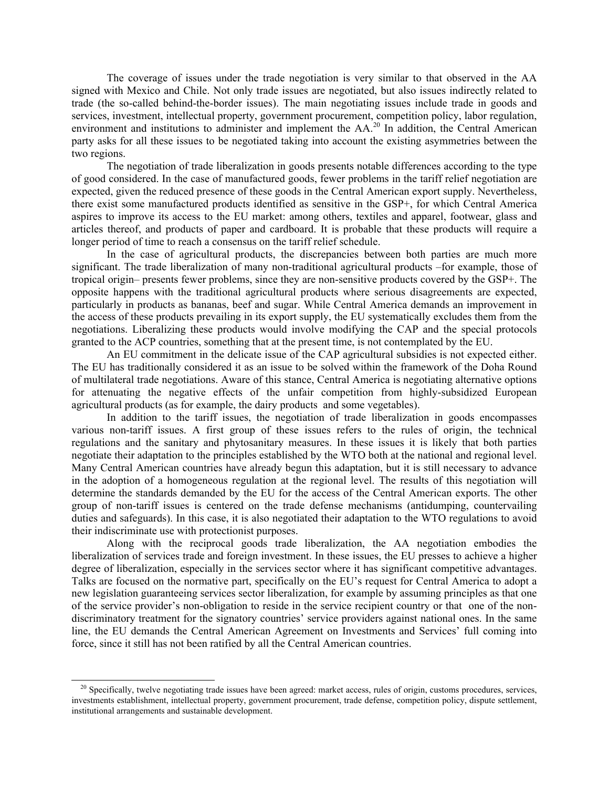The coverage of issues under the trade negotiation is very similar to that observed in the AA signed with Mexico and Chile. Not only trade issues are negotiated, but also issues indirectly related to trade (the so-called behind-the-border issues). The main negotiating issues include trade in goods and services, investment, intellectual property, government procurement, competition policy, labor regulation, environment and institutions to administer and implement the AA.<sup>20</sup> In addition, the Central American party asks for all these issues to be negotiated taking into account the existing asymmetries between the two regions.

The negotiation of trade liberalization in goods presents notable differences according to the type of good considered. In the case of manufactured goods, fewer problems in the tariff relief negotiation are expected, given the reduced presence of these goods in the Central American export supply. Nevertheless, there exist some manufactured products identified as sensitive in the GSP+, for which Central America aspires to improve its access to the EU market: among others, textiles and apparel, footwear, glass and articles thereof, and products of paper and cardboard. It is probable that these products will require a longer period of time to reach a consensus on the tariff relief schedule.

In the case of agricultural products, the discrepancies between both parties are much more significant. The trade liberalization of many non-traditional agricultural products –for example, those of tropical origin– presents fewer problems, since they are non-sensitive products covered by the GSP+. The opposite happens with the traditional agricultural products where serious disagreements are expected, particularly in products as bananas, beef and sugar. While Central America demands an improvement in the access of these products prevailing in its export supply, the EU systematically excludes them from the negotiations. Liberalizing these products would involve modifying the CAP and the special protocols granted to the ACP countries, something that at the present time, is not contemplated by the EU.

An EU commitment in the delicate issue of the CAP agricultural subsidies is not expected either. The EU has traditionally considered it as an issue to be solved within the framework of the Doha Round of multilateral trade negotiations. Aware of this stance, Central America is negotiating alternative options for attenuating the negative effects of the unfair competition from highly-subsidized European agricultural products (as for example, the dairy products and some vegetables).

In addition to the tariff issues, the negotiation of trade liberalization in goods encompasses various non-tariff issues. A first group of these issues refers to the rules of origin, the technical regulations and the sanitary and phytosanitary measures. In these issues it is likely that both parties negotiate their adaptation to the principles established by the WTO both at the national and regional level. Many Central American countries have already begun this adaptation, but it is still necessary to advance in the adoption of a homogeneous regulation at the regional level. The results of this negotiation will determine the standards demanded by the EU for the access of the Central American exports. The other group of non-tariff issues is centered on the trade defense mechanisms (antidumping, countervailing duties and safeguards). In this case, it is also negotiated their adaptation to the WTO regulations to avoid their indiscriminate use with protectionist purposes.

Along with the reciprocal goods trade liberalization, the AA negotiation embodies the liberalization of services trade and foreign investment. In these issues, the EU presses to achieve a higher degree of liberalization, especially in the services sector where it has significant competitive advantages. Talks are focused on the normative part, specifically on the EU's request for Central America to adopt a new legislation guaranteeing services sector liberalization, for example by assuming principles as that one of the service provider's non-obligation to reside in the service recipient country or that one of the nondiscriminatory treatment for the signatory countries' service providers against national ones. In the same line, the EU demands the Central American Agreement on Investments and Services' full coming into force, since it still has not been ratified by all the Central American countries.

 $\overline{a}$ 

 $20$  Specifically, twelve negotiating trade issues have been agreed: market access, rules of origin, customs procedures, services, investments establishment, intellectual property, government procurement, trade defense, competition policy, dispute settlement, institutional arrangements and sustainable development.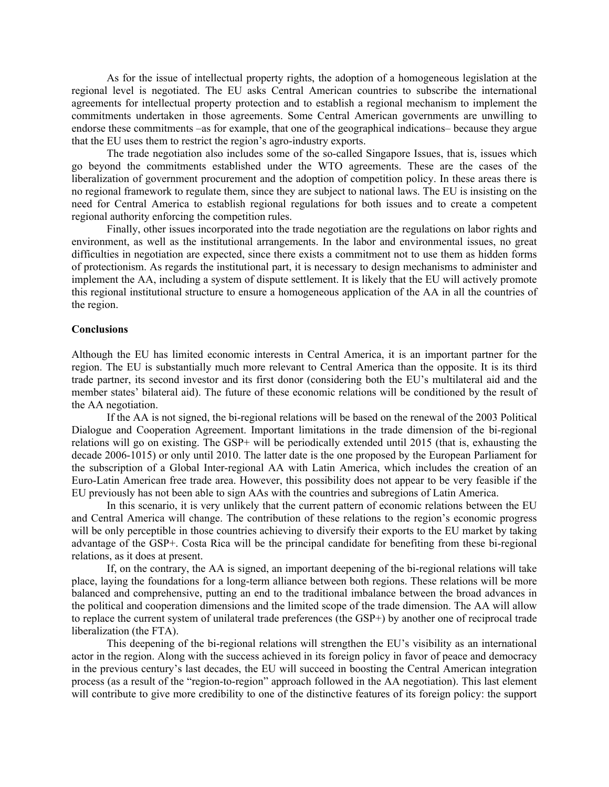As for the issue of intellectual property rights, the adoption of a homogeneous legislation at the regional level is negotiated. The EU asks Central American countries to subscribe the international agreements for intellectual property protection and to establish a regional mechanism to implement the commitments undertaken in those agreements. Some Central American governments are unwilling to endorse these commitments –as for example, that one of the geographical indications– because they argue that the EU uses them to restrict the region's agro-industry exports.

The trade negotiation also includes some of the so-called Singapore Issues, that is, issues which go beyond the commitments established under the WTO agreements. These are the cases of the liberalization of government procurement and the adoption of competition policy. In these areas there is no regional framework to regulate them, since they are subject to national laws. The EU is insisting on the need for Central America to establish regional regulations for both issues and to create a competent regional authority enforcing the competition rules.

Finally, other issues incorporated into the trade negotiation are the regulations on labor rights and environment, as well as the institutional arrangements. In the labor and environmental issues, no great difficulties in negotiation are expected, since there exists a commitment not to use them as hidden forms of protectionism. As regards the institutional part, it is necessary to design mechanisms to administer and implement the AA, including a system of dispute settlement. It is likely that the EU will actively promote this regional institutional structure to ensure a homogeneous application of the AA in all the countries of the region.

## **Conclusions**

Although the EU has limited economic interests in Central America, it is an important partner for the region. The EU is substantially much more relevant to Central America than the opposite. It is its third trade partner, its second investor and its first donor (considering both the EU's multilateral aid and the member states' bilateral aid). The future of these economic relations will be conditioned by the result of the AA negotiation.

If the AA is not signed, the bi-regional relations will be based on the renewal of the 2003 Political Dialogue and Cooperation Agreement. Important limitations in the trade dimension of the bi-regional relations will go on existing. The GSP+ will be periodically extended until 2015 (that is, exhausting the decade 2006-1015) or only until 2010. The latter date is the one proposed by the European Parliament for the subscription of a Global Inter-regional AA with Latin America, which includes the creation of an Euro-Latin American free trade area. However, this possibility does not appear to be very feasible if the EU previously has not been able to sign AAs with the countries and subregions of Latin America.

In this scenario, it is very unlikely that the current pattern of economic relations between the EU and Central America will change. The contribution of these relations to the region's economic progress will be only perceptible in those countries achieving to diversify their exports to the EU market by taking advantage of the GSP+. Costa Rica will be the principal candidate for benefiting from these bi-regional relations, as it does at present.

If, on the contrary, the AA is signed, an important deepening of the bi-regional relations will take place, laying the foundations for a long-term alliance between both regions. These relations will be more balanced and comprehensive, putting an end to the traditional imbalance between the broad advances in the political and cooperation dimensions and the limited scope of the trade dimension. The AA will allow to replace the current system of unilateral trade preferences (the GSP+) by another one of reciprocal trade liberalization (the FTA).

This deepening of the bi-regional relations will strengthen the EU's visibility as an international actor in the region. Along with the success achieved in its foreign policy in favor of peace and democracy in the previous century's last decades, the EU will succeed in boosting the Central American integration process (as a result of the "region-to-region" approach followed in the AA negotiation). This last element will contribute to give more credibility to one of the distinctive features of its foreign policy: the support